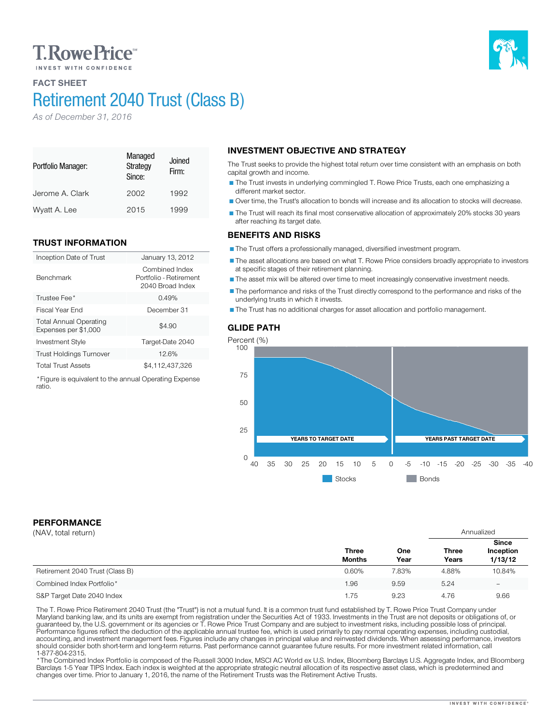# **T. Rowe Price**

# FACT SHEET

# Retirement 2040 Trust (Class B)

*As of December 31, 2016*

#### Portfolio Manager: Managed **Strategy** Since: Joined Firm: Jerome A. Clark 2002 1992 Wyatt A. Lee 2015 1999

# TRUST INFORMATION

| Inception Date of Trust                               | January 13, 2012                                             |
|-------------------------------------------------------|--------------------------------------------------------------|
| <b>Benchmark</b>                                      | Combined Index<br>Portfolio - Retirement<br>2040 Broad Index |
| Trustee Fee*                                          | 0.49%                                                        |
| Fiscal Year End                                       | December 31                                                  |
| <b>Total Annual Operating</b><br>Expenses per \$1,000 | \$4.90                                                       |
| <b>Investment Style</b>                               | Target-Date 2040                                             |
| <b>Trust Holdings Turnover</b>                        | 12.6%                                                        |
| <b>Total Trust Assets</b>                             | \$4,112,437,326                                              |

\*Figure is equivalent to the annual Operating Expense ratio.

# INVESTMENT OBJECTIVE AND STRATEGY

The Trust seeks to provide the highest total return over time consistent with an emphasis on both capital growth and income.

The Trust invests in underlying commingled T. Rowe Price Trusts, each one emphasizing a different market sector.

Over time, the Trust's allocation to bonds will increase and its allocation to stocks will decrease.

The Trust will reach its final most conservative allocation of approximately 20% stocks 30 years after reaching its target date.

## BENEFITS AND RISKS

The Trust offers a professionally managed, diversified investment program.

The asset allocations are based on what T. Rowe Price considers broadly appropriate to investors at specific stages of their retirement planning.

The asset mix will be altered over time to meet increasingly conservative investment needs.

The performance and risks of the Trust directly correspond to the performance and risks of the underlying trusts in which it invests.

The Trust has no additional charges for asset allocation and portfolio management.



## PERFORMANCE

| (NAV, total return)             |                               |             | Annualized            |                                      |
|---------------------------------|-------------------------------|-------------|-----------------------|--------------------------------------|
|                                 | <b>Three</b><br><b>Months</b> | One<br>Year | <b>Three</b><br>Years | <b>Since</b><br>Inception<br>1/13/12 |
| Retirement 2040 Trust (Class B) | 0.60%                         | 7.83%       | 4.88%                 | 10.84%                               |
| Combined Index Portfolio*       | 1.96                          | 9.59        | 5.24                  | $\overline{\phantom{0}}$             |
| S&P Target Date 2040 Index      | 1.75                          | 9.23        | 4.76                  | 9.66                                 |

The T. Rowe Price Retirement 2040 Trust (the "Trust") is not a mutual fund. It is a common trust fund established by T. Rowe Price Trust Company under<br>Maryland banking law, and its units are exempt from registration under should consider both short-term and long-term returns. Past performance cannot guarantee future results. For more investment related information, call

\* The Combined Index Portfolio is composed of the Russell 3000 Index, MSCI AC World ex U.S. Index, Bloomberg Barclays U.S. Aggregate Index, and Bloomberg Barclays 1-5 Year TIPS Index. Each index is weighted at the appropriate strategic neutral allocation of its respective asset class, which is predetermined and changes over time. Prior to January 1, 2016, the name of the Retirement Trusts was the Retirement Active Trusts.

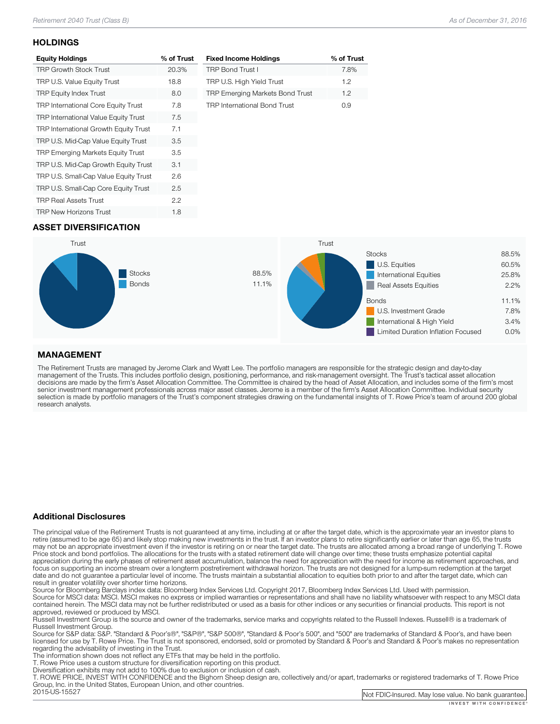### **HOLDINGS**

| <b>Equity Holdings</b>                      | % of Trust |
|---------------------------------------------|------------|
| <b>TRP Growth Stock Trust</b>               | 20.3%      |
| TRP U.S. Value Equity Trust                 | 18.8       |
| <b>TRP Equity Index Trust</b>               | 8.0        |
| <b>TRP International Core Equity Trust</b>  | 7.8        |
| <b>TRP International Value Equity Trust</b> | 7.5        |
| TRP International Growth Equity Trust       | 7.1        |
| TRP U.S. Mid-Cap Value Equity Trust         | 3.5        |
| <b>TRP Emerging Markets Equity Trust</b>    | 3.5        |
| TRP U.S. Mid-Cap Growth Equity Trust        | 3.1        |
| TRP U.S. Small-Cap Value Equity Trust       | 2.6        |
| TRP U.S. Small-Cap Core Equity Trust        | 2.5        |
| <b>TRP Real Assets Trust</b>                | 2.2        |
| <b>TRP New Horizons Trust</b>               | 1.8        |

| <b>Fixed Income Holdings</b>           | % of Trust |
|----------------------------------------|------------|
| <b>TRP Bond Trust I</b>                | 7.8%       |
| TRP U.S. High Yield Trust              | 12         |
| <b>TRP Emerging Markets Bond Trust</b> | 12         |
| <b>TRP International Bond Trust</b>    | N 9        |

## ASSET DIVERSIFICATION



## MANAGEMENT

The Retirement Trusts are managed by Jerome Clark and Wyatt Lee. The portfolio managers are responsible for the strategic design and day-to-day<br>management of the Trusts. This includes portfolio design, positioning, perform research analysts.

### Additional Disclosures

The principal value of the Retirement Trusts is not guaranteed at any time, including at or after the target date, which is the approximate year an investor plans to retire (assumed to be age 65) and likely stop making new may not be an appropriate investment even if the investor is retiring on or near the target date. The trusts are allocated among a broad range of underlying T. Rowe<br>Price stock and bond portfolios. The allocations for the focus on supporting an income stream over a longterm postretirement withdrawal horizon. The trusts are not designed for a lump-sum redemption at the target date and do not guarantee a particular level of income. The trusts maintain a substantial allocation to equities both prior to and after the target date, which can result in greater volatility over shorter time horizons.

Source for Bloomberg Barclays index data: Bloomberg Index Services Ltd. Copyright 2017, Bloomberg Index Services Ltd. Used with permission.<br>Source for MSCI data: MSCI. MSCI makes no express or implied warranties or represe

approved, reviewed or produced by MSCI.<br>Russell Investment Group is the source and owner of the trademarks, service marks and copyrights related to the Russell Indexes. Russell® is a trademark of<br>Russell Investment Group.

Russell Investment Group. Source Group and Group", "Same Standard Group", "Standard Group", and "500" are trademarks of Standard & Poor's, and have been licensed for use by T. Rowe Price. The Trust is not sponsored, endorsed, sold or promoted by Standard & Poor's and Standard & Poor's makes no representation<br>regarding the advisability of investing in the Trust.

The information shown does not reflect any ETFs that may be held in the portfolio.<br>T. Rowe Price uses a custom structure for diversification reporting on this product.<br>Diversification exhibits may not add to 100% due to ex